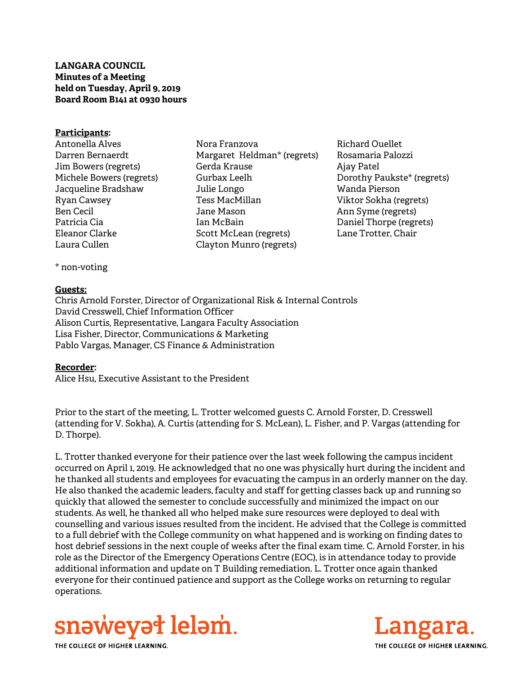## **LANGARA COUNCIL Minutes of a Meeting held on Tuesday, April 9, 2019 Board Room B141 at 0930 hours**

#### **Participants:**

- Antonella Alves Darren Bernaerdt Jim Bowers (regrets) Michele Bowers (regrets) Jacqueline Bradshaw Ryan Cawsey Ben Cecil Patricia Cia Eleanor Clarke Laura Cullen
- Nora Franzova Margaret Heldman\* (regrets) Gerda Krause Gurbax Leelh Julie Longo Tess MacMillan Jane Mason Ian McBain Scott McLean (regrets) Clayton Munro (regrets)

Richard Ouellet Rosamaria Palozzi Ajay Patel Dorothy Paukste\* (regrets) Wanda Pierson Viktor Sokha (regrets) Ann Syme (regrets) Daniel Thorpe (regrets) Lane Trotter, Chair

\* non-voting

### **Guests:**

Chris Arnold Forster, Director of Organizational Risk & Internal Controls David Cresswell, Chief Information Officer Alison Curtis, Representative, Langara Faculty Association Lisa Fisher, Director, Communications & Marketing Pablo Vargas, Manager, CS Finance & Administration

## **Recorder:**

Alice Hsu, Executive Assistant to the President

Prior to the start of the meeting, L. Trotter welcomed guests C. Arnold Forster, D. Cresswell (attending for V. Sokha), A. Curtis (attending for S. McLean), L. Fisher, and P. Vargas (attending for D. Thorpe).

L. Trotter thanked everyone for their patience over the last week following the campus incident occurred on April 1, 2019. He acknowledged that no one was physically hurt during the incident and he thanked all students and employees for evacuating the campus in an orderly manner on the day. He also thanked the academic leaders, faculty and staff for getting classes back up and running so quickly that allowed the semester to conclude successfully and minimized the impact on our students. As well, he thanked all who helped make sure resources were deployed to deal with counselling and various issues resulted from the incident. He advised that the College is committed to a full debrief with the College community on what happened and is working on finding dates to host debrief sessions in the next couple of weeks after the final exam time. C. Arnold Forster, in his role as the Director of the Emergency Operations Centre (EOC), is in attendance today to provide additional information and update on T Building remediation. L. Trotter once again thanked everyone for their continued patience and support as the College works on returning to regular operations.



THE COLLEGE OF HIGHER LEARNING

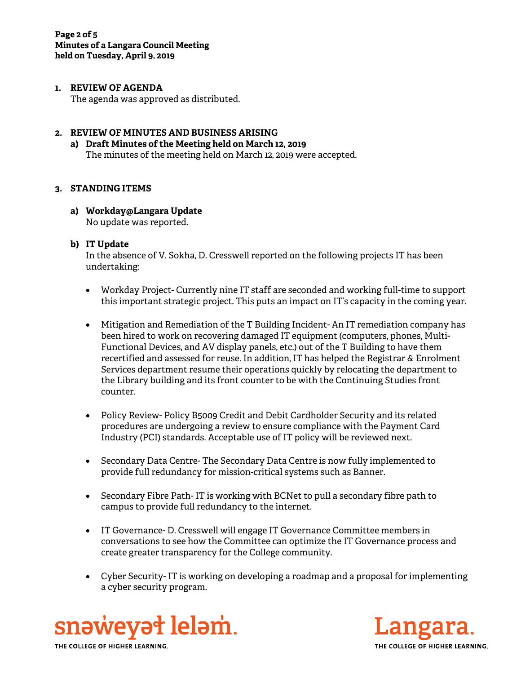#### **1. REVIEW OF AGENDA**

The agenda was approved as distributed.

#### **2. REVIEW OF MINUTES AND BUSINESS ARISING**

**a) Draft Minutes of the Meeting held on March 12, 2019**  The minutes of the meeting held on March 12, 2019 were accepted.

### **3. STANDING ITEMS**

**a) Workday@Langara Update**  No update was reported.

### **b) IT Update**

In the absence of V. Sokha, D. Cresswell reported on the following projects IT has been undertaking:

- Workday Project- Currently nine IT staff are seconded and working full-time to support this important strategic project. This puts an impact on IT's capacity in the coming year.
- Mitigation and Remediation of the T Building Incident- An IT remediation company has been hired to work on recovering damaged IT equipment (computers, phones, Multi-Functional Devices, and AV display panels, etc.) out of the T Building to have them recertified and assessed for reuse. In addition, IT has helped the Registrar & Enrolment Services department resume their operations quickly by relocating the department to the Library building and its front counter to be with the Continuing Studies front counter.
- Policy Review- Policy B5009 Credit and Debit Cardholder Security and its related procedures are undergoing a review to ensure compliance with the Payment Card Industry (PCI) standards. Acceptable use of IT policy will be reviewed next.
- Secondary Data Centre- The Secondary Data Centre is now fully implemented to provide full redundancy for mission-critical systems such as Banner.
- Secondary Fibre Path- IT is working with BCNet to pull a secondary fibre path to campus to provide full redundancy to the internet.
- IT Governance- D. Cresswell will engage IT Governance Committee members in conversations to see how the Committee can optimize the IT Governance process and create greater transparency for the College community.
- Cyber Security- IT is working on developing a roadmap and a proposal for implementing a cyber security program.



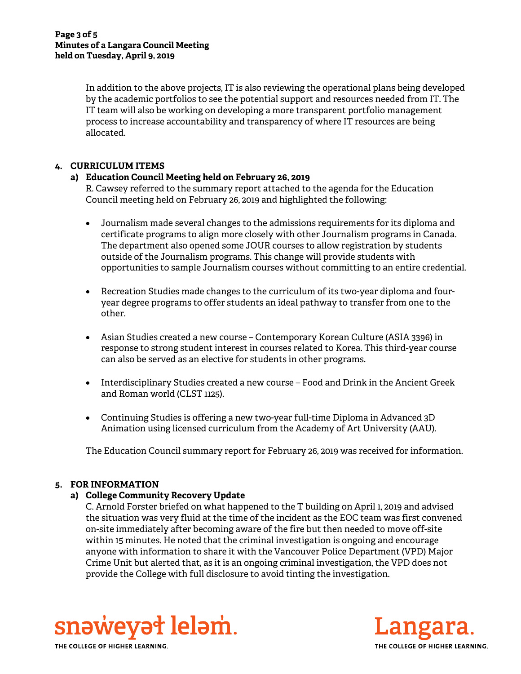In addition to the above projects, IT is also reviewing the operational plans being developed by the academic portfolios to see the potential support and resources needed from IT. The IT team will also be working on developing a more transparent portfolio management process to increase accountability and transparency of where IT resources are being allocated.

# **4. CURRICULUM ITEMS**

## **a) Education Council Meeting held on February 26, 2019**

R. Cawsey referred to the summary report attached to the agenda for the Education Council meeting held on February 26, 2019 and highlighted the following:

- Journalism made several changes to the admissions requirements for its diploma and certificate programs to align more closely with other Journalism programs in Canada. The department also opened some JOUR courses to allow registration by students outside of the Journalism programs. This change will provide students with opportunities to sample Journalism courses without committing to an entire credential.
- Recreation Studies made changes to the curriculum of its two-year diploma and fouryear degree programs to offer students an ideal pathway to transfer from one to the other.
- Asian Studies created a new course Contemporary Korean Culture (ASIA 3396) in response to strong student interest in courses related to Korea. This third-year course can also be served as an elective for students in other programs.
- Interdisciplinary Studies created a new course Food and Drink in the Ancient Greek and Roman world (CLST 1125).
- Continuing Studies is offering a new two-year full-time Diploma in Advanced 3D Animation using licensed curriculum from the Academy of Art University (AAU).

The Education Council summary report for February 26, 2019 was received for information.

## **5. FOR INFORMATION**

## **a) College Community Recovery Update**

C. Arnold Forster briefed on what happened to the T building on April 1, 2019 and advised the situation was very fluid at the time of the incident as the EOC team was first convened on-site immediately after becoming aware of the fire but then needed to move off-site within 15 minutes. He noted that the criminal investigation is ongoing and encourage anyone with information to share it with the Vancouver Police Department (VPD) Major Crime Unit but alerted that, as it is an ongoing criminal investigation, the VPD does not provide the College with full disclosure to avoid tinting the investigation.





THE COLLEGE OF HIGHER LEARNING.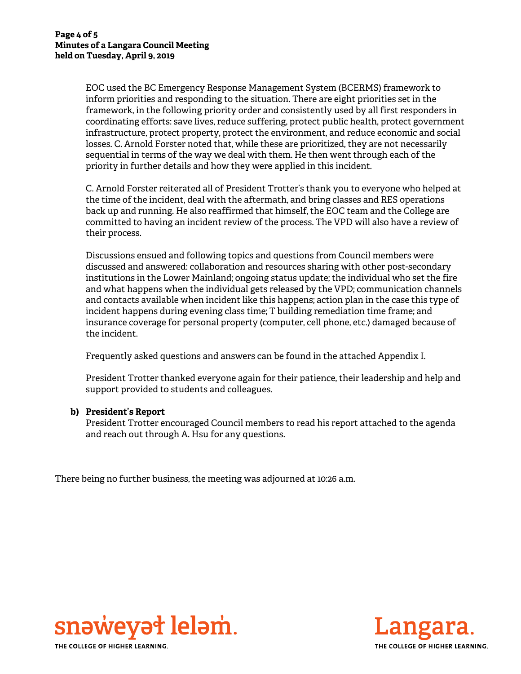EOC used the BC Emergency Response Management System (BCERMS) framework to inform priorities and responding to the situation. There are eight priorities set in the framework, in the following priority order and consistently used by all first responders in coordinating efforts: save lives, reduce suffering, protect public health, protect government infrastructure, protect property, protect the environment, and reduce economic and social losses. C. Arnold Forster noted that, while these are prioritized, they are not necessarily sequential in terms of the way we deal with them. He then went through each of the priority in further details and how they were applied in this incident.

C. Arnold Forster reiterated all of President Trotter's thank you to everyone who helped at the time of the incident, deal with the aftermath, and bring classes and RES operations back up and running. He also reaffirmed that himself, the EOC team and the College are committed to having an incident review of the process. The VPD will also have a review of their process.

Discussions ensued and following topics and questions from Council members were discussed and answered: collaboration and resources sharing with other post-secondary institutions in the Lower Mainland; ongoing status update; the individual who set the fire and what happens when the individual gets released by the VPD; communication channels and contacts available when incident like this happens; action plan in the case this type of incident happens during evening class time; T building remediation time frame; and insurance coverage for personal property (computer, cell phone, etc.) damaged because of the incident.

Frequently asked questions and answers can be found in the attached Appendix I.

President Trotter thanked everyone again for their patience, their leadership and help and support provided to students and colleagues.

#### **b) President's Report**

President Trotter encouraged Council members to read his report attached to the agenda and reach out through A. Hsu for any questions.

There being no further business, the meeting was adjourned at 10:26 a.m.